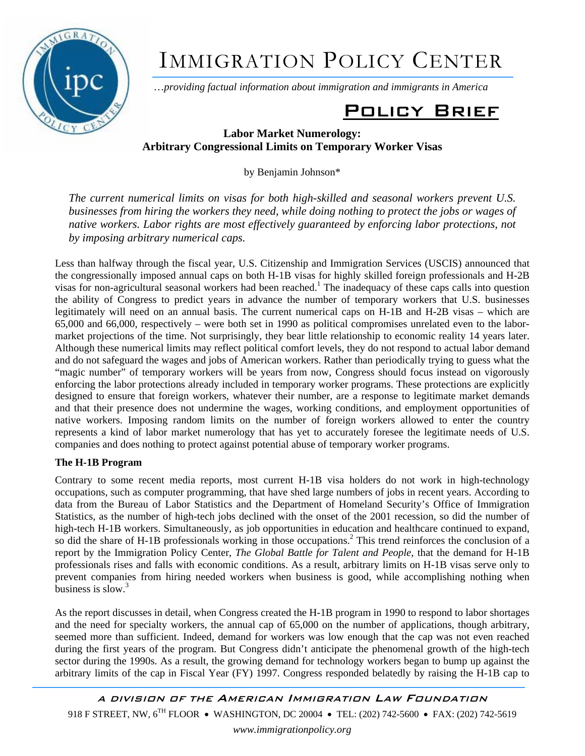

# IMMIGRATION POLICY CENTER

…*providing factual information about immigration and immigrants in America*

# Policy Brief

## **Labor Market Numerology: Arbitrary Congressional Limits on Temporary Worker Visas**

by Benjamin Johnson\*

*The current numerical limits on visas for both high-skilled and seasonal workers prevent U.S. businesses from hiring the workers they need, while doing nothing to protect the jobs or wages of native workers. Labor rights are most effectively guaranteed by enforcing labor protections, not by imposing arbitrary numerical caps.* 

Less than halfway through the fiscal year, U.S. Citizenship and Immigration Services (USCIS) announced that the congressionally imposed annual caps on both H-1B visas for highly skilled foreign professionals and H-2B visas for non-agricultural seasonal workers had been reached.<sup>1</sup> The inadequacy of these caps calls into question the ability of Congress to predict years in advance the number of temporary workers that U.S. businesses legitimately will need on an annual basis. The current numerical caps on H-1B and H-2B visas – which are 65,000 and 66,000, respectively – were both set in 1990 as political compromises unrelated even to the labormarket projections of the time. Not surprisingly, they bear little relationship to economic reality 14 years later. Although these numerical limits may reflect political comfort levels, they do not respond to actual labor demand and do not safeguard the wages and jobs of American workers. Rather than periodically trying to guess what the "magic number" of temporary workers will be years from now, Congress should focus instead on vigorously enforcing the labor protections already included in temporary worker programs. These protections are explicitly designed to ensure that foreign workers, whatever their number, are a response to legitimate market demands and that their presence does not undermine the wages, working conditions, and employment opportunities of native workers. Imposing random limits on the number of foreign workers allowed to enter the country represents a kind of labor market numerology that has yet to accurately foresee the legitimate needs of U.S. companies and does nothing to protect against potential abuse of temporary worker programs.

### **The H-1B Program**

Contrary to some recent media reports, most current H-1B visa holders do not work in high-technology occupations, such as computer programming, that have shed large numbers of jobs in recent years. According to data from the Bureau of Labor Statistics and the Department of Homeland Security's Office of Immigration Statistics, as the number of high-tech jobs declined with the onset of the 2001 recession, so did the number of high-tech H-1B workers. Simultaneously, as job opportunities in education and healthcare continued to expand, so did the share of H-1B professionals working in those occupations.<sup>2</sup> This trend reinforces the conclusion of a report by the Immigration Policy Center, *The Global Battle for Talent and People*, that the demand for H-1B professionals rises and falls with economic conditions. As a result, arbitrary limits on H-1B visas serve only to prevent companies from hiring needed workers when business is good, while accomplishing nothing when business is slow. $3$ 

As the report discusses in detail, when Congress created the H-1B program in 1990 to respond to labor shortages and the need for specialty workers, the annual cap of 65,000 on the number of applications, though arbitrary, seemed more than sufficient. Indeed, demand for workers was low enough that the cap was not even reached during the first years of the program. But Congress didn't anticipate the phenomenal growth of the high-tech sector during the 1990s. As a result, the growing demand for technology workers began to bump up against the arbitrary limits of the cap in Fiscal Year (FY) 1997. Congress responded belatedly by raising the H-1B cap to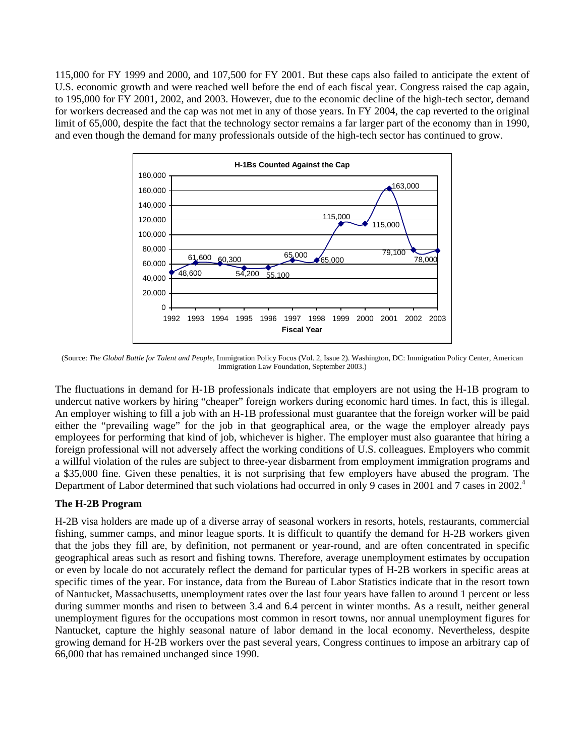115,000 for FY 1999 and 2000, and 107,500 for FY 2001. But these caps also failed to anticipate the extent of U.S. economic growth and were reached well before the end of each fiscal year. Congress raised the cap again, to 195,000 for FY 2001, 2002, and 2003. However, due to the economic decline of the high-tech sector, demand for workers decreased and the cap was not met in any of those years. In FY 2004, the cap reverted to the original limit of 65,000, despite the fact that the technology sector remains a far larger part of the economy than in 1990, and even though the demand for many professionals outside of the high-tech sector has continued to grow.



(Source: *The Global Battle for Talent and People*, Immigration Policy Focus (Vol. 2, Issue 2). Washington, DC: Immigration Policy Center, American Immigration Law Foundation, September 2003.)

The fluctuations in demand for H-1B professionals indicate that employers are not using the H-1B program to undercut native workers by hiring "cheaper" foreign workers during economic hard times. In fact, this is illegal. An employer wishing to fill a job with an H-1B professional must guarantee that the foreign worker will be paid either the "prevailing wage" for the job in that geographical area, or the wage the employer already pays employees for performing that kind of job, whichever is higher. The employer must also guarantee that hiring a foreign professional will not adversely affect the working conditions of U.S. colleagues. Employers who commit a willful violation of the rules are subject to three-year disbarment from employment immigration programs and a \$35,000 fine. Given these penalties, it is not surprising that few employers have abused the program. The Department of Labor determined that such violations had occurred in only 9 cases in 2001 and 7 cases in 2002.<sup>4</sup>

#### **The H-2B Program**

H-2B visa holders are made up of a diverse array of seasonal workers in resorts, hotels, restaurants, commercial fishing, summer camps, and minor league sports. It is difficult to quantify the demand for H-2B workers given that the jobs they fill are, by definition, not permanent or year-round, and are often concentrated in specific geographical areas such as resort and fishing towns. Therefore, average unemployment estimates by occupation or even by locale do not accurately reflect the demand for particular types of H-2B workers in specific areas at specific times of the year. For instance, data from the Bureau of Labor Statistics indicate that in the resort town of Nantucket, Massachusetts, unemployment rates over the last four years have fallen to around 1 percent or less during summer months and risen to between 3.4 and 6.4 percent in winter months. As a result, neither general unemployment figures for the occupations most common in resort towns, nor annual unemployment figures for Nantucket, capture the highly seasonal nature of labor demand in the local economy. Nevertheless, despite growing demand for H-2B workers over the past several years, Congress continues to impose an arbitrary cap of 66,000 that has remained unchanged since 1990.